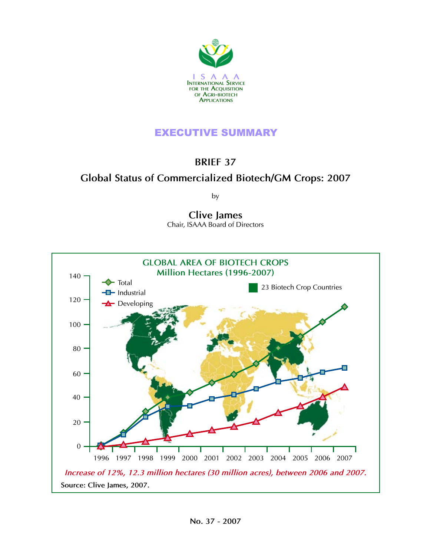

## EXECUTIVE SUMMARY

## **brief 37**

# **Global Status of Commercialized Biotech/GM Crops: 2007**

by

# **Clive James**

Chair, ISAAA Board of Directors

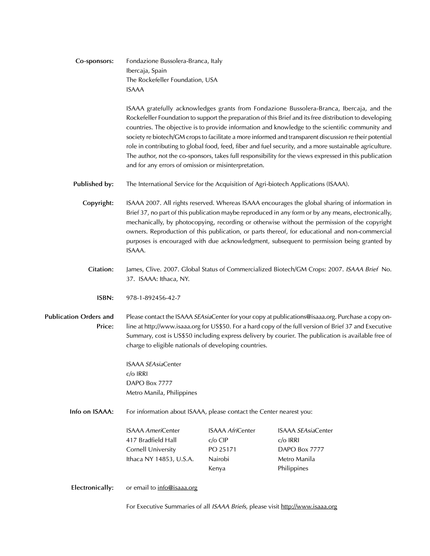| Co-sponsors: | Fondazione Bussolera-Branca, Italy |  |
|--------------|------------------------------------|--|
|              | Ibercaja, Spain                    |  |
|              | The Rockefeller Foundation, USA    |  |
|              | ISAAA                              |  |

ISAAA gratefully acknowledges grants from Fondazione Bussolera-Branca, Ibercaja, and the Rockefeller Foundation to support the preparation of this Brief and its free distribution to developing countries. The objective is to provide information and knowledge to the scientific community and society re biotech/GM crops to facilitate a more informed and transparent discussion re their potential role in contributing to global food, feed, fiber and fuel security, and a more sustainable agriculture. The author, not the co-sponsors, takes full responsibility for the views expressed in this publication and for any errors of omission or misinterpretation.

**Published by:** The International Service for the Acquisition of Agri-biotech Applications (ISAAA).

**Copyright:** ISAAA 2007. All rights reserved. Whereas ISAAA encourages the global sharing of information in Brief 37, no part of this publication maybe reproduced in any form or by any means, electronically, mechanically, by photocopying, recording or otherwise without the permission of the copyright owners. Reproduction of this publication, or parts thereof, for educational and non-commercial purposes is encouraged with due acknowledgment, subsequent to permission being granted by ISAAA.

- **Citation:** James, Clive. 2007. Global Status of Commercialized Biotech/GM Crops: 2007. *ISAAA Brief* No. 37. ISAAA: Ithaca, NY.
	- **isbn:** 978-1-892456-42-7

**Publication Orders and Price:** Please contact the ISAAA *SEAsia*Center for your copy at publications@isaaa.org. Purchase a copy online at http://www.isaaa.org for US\$50. For a hard copy of the full version of Brief 37 and Executive Summary, cost is US\$50 including express delivery by courier. The publication is available free of charge to eligible nationals of developing countries.

> ISAAA *SEAsia*Center c/o IRRI DAPO Box 7777 Metro Manila, Philippines

**Info on ISAAA:** For information about ISAAA, please contact the Center nearest you:

| <b>ISAAA AmeriCenter</b> | <b>ISAAA AfriCenter</b> | <b>ISAAA SEAsiaCenter</b> |
|--------------------------|-------------------------|---------------------------|
| 417 Bradfield Hall       | $c/\sigma$ CIP          | $c/\sigma$ IRRI           |
| Cornell University       | PO 25171                | DAPO Box 7777             |
| Ithaca NY 14853, U.S.A.  | Nairobi                 | Metro Manila              |
|                          | Kenya                   | Philippines               |

**Electronically:** or email to info@isaaa.org

For Executive Summaries of all *ISAAA Briefs,* please visit http://www.isaaa.org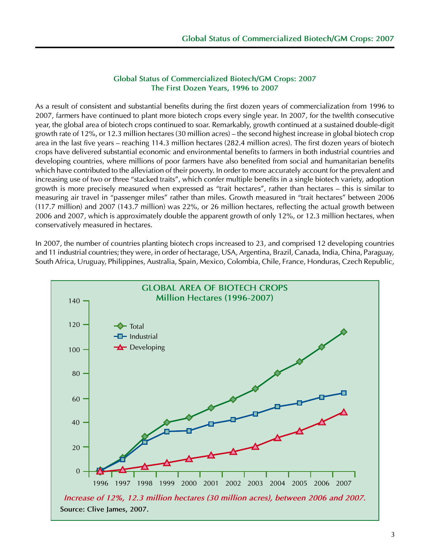#### **Global Status of Commercialized Biotech/GM Crops: 2007 The First Dozen Years, 1996 to 2007**

As a result of consistent and substantial benefits during the first dozen years of commercialization from 1996 to 2007, farmers have continued to plant more biotech crops every single year. In 2007, for the twelfth consecutive year, the global area of biotech crops continued to soar. Remarkably, growth continued at a sustained double-digit growth rate of 12%, or 12.3 million hectares (30 million acres) – the second highest increase in global biotech crop area in the last five years – reaching 114.3 million hectares (282.4 million acres). The first dozen years of biotech crops have delivered substantial economic and environmental benefits to farmers in both industrial countries and developing countries, where millions of poor farmers have also benefited from social and humanitarian benefits which have contributed to the alleviation of their poverty. In order to more accurately account for the prevalent and increasing use of two or three "stacked traits", which confer multiple benefits in a single biotech variety, adoption growth is more precisely measured when expressed as "trait hectares", rather than hectares – this is similar to measuring air travel in "passenger miles" rather than miles. Growth measured in "trait hectares" between 2006 (117.7 million) and 2007 (143.7 million) was 22%, or 26 million hectares, reflecting the actual growth between 2006 and 2007, which is approximately double the apparent growth of only 12%, or 12.3 million hectares, when conservatively measured in hectares.

In 2007, the number of countries planting biotech crops increased to 23, and comprised 12 developing countries and 11 industrial countries; they were, in order of hectarage, USA, Argentina, Brazil, Canada, India, China, Paraguay, South Africa, Uruguay, Philippines, Australia, Spain, Mexico, Colombia, Chile, France, Honduras, Czech Republic,

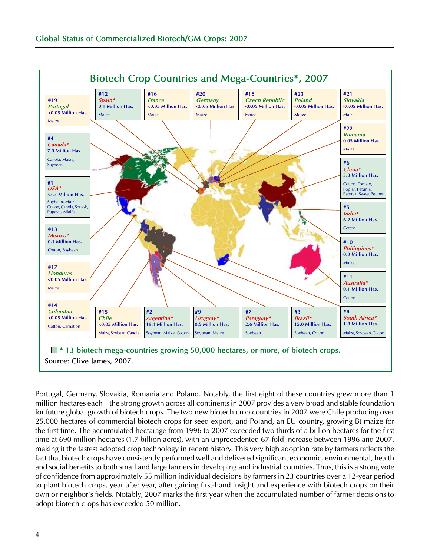

Portugal, Germany, Slovakia, Romania and Poland. Notably, the first eight of these countries grew more than 1 million hectares each – the strong growth across all continents in 2007 provides a very broad and stable foundation for future global growth of biotech crops. The two new biotech crop countries in 2007 were Chile producing over 25,000 hectares of commercial biotech crops for seed export, and Poland, an EU country, growing Bt maize for the first time. The accumulated hectarage from 1996 to 2007 exceeded two thirds of a billion hectares for the first time at 690 million hectares (1.7 billion acres), with an unprecedented 67-fold increase between 1996 and 2007, making it the fastest adopted crop technology in recent history. This very high adoption rate by farmers reflects the fact that biotech crops have consistently performed well and delivered significant economic, environmental, health and social benefits to both small and large farmers in developing and industrial countries. Thus, this is a strong vote of confidence from approximately 55 million individual decisions by farmers in 23 countries over a 12-year period to plant biotech crops, year after year, after gaining first-hand insight and experience with biotech crops on their own or neighbor's fields. Notably, 2007 marks the first year when the accumulated number of farmer decisions to adopt biotech crops has exceeded 50 million.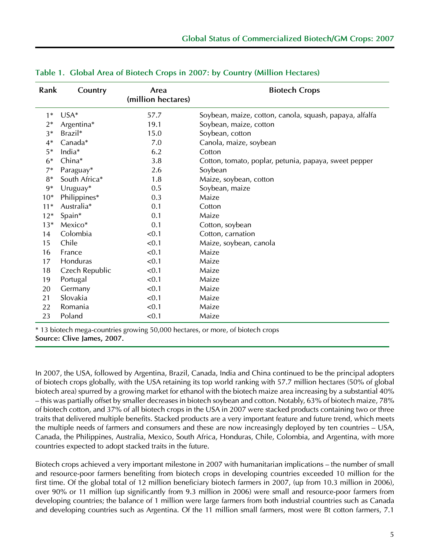| Rank  | Country        | Area<br>(million hectares) | <b>Biotech Crops</b>                                    |
|-------|----------------|----------------------------|---------------------------------------------------------|
| $1*$  | $USA*$         | 57.7                       | Soybean, maize, cotton, canola, squash, papaya, alfalfa |
| $2*$  | Argentina*     | 19.1                       | Soybean, maize, cotton                                  |
| 3*    | Brazil*        | 15.0                       | Soybean, cotton                                         |
| $4*$  | Canada*        | 7.0                        | Canola, maize, soybean                                  |
| $5*$  | India*         | 6.2                        | Cotton                                                  |
| $6*$  | China*         | 3.8                        | Cotton, tomato, poplar, petunia, papaya, sweet pepper   |
| 7*    | Paraguay*      | 2.6                        | Soybean                                                 |
| $8*$  | South Africa*  | 1.8                        | Maize, soybean, cotton                                  |
| $9*$  | Uruguay*       | 0.5                        | Soybean, maize                                          |
| $10*$ | Philippines*   | 0.3                        | Maize                                                   |
| $11*$ | Australia*     | 0.1                        | Cotton                                                  |
| $12*$ | Spain*         | 0.1                        | Maize                                                   |
| $13*$ | Mexico*        | 0.1                        | Cotton, soybean                                         |
| 14    | Colombia       | < 0.1                      | Cotton, carnation                                       |
| 15    | Chile          | < 0.1                      | Maize, soybean, canola                                  |
| 16    | France         | < 0.1                      | Maize                                                   |
| 17    | Honduras       | < 0.1                      | Maize                                                   |
| 18    | Czech Republic | < 0.1                      | Maize                                                   |
| 19    | Portugal       | < 0.1                      | Maize                                                   |
| 20    | Germany        | < 0.1                      | Maize                                                   |
| 21    | Slovakia       | < 0.1                      | Maize                                                   |
| 22    | Romania        | < 0.1                      | Maize                                                   |
| 23    | Poland         | < 0.1                      | Maize                                                   |

\* 13 biotech mega-countries growing 50,000 hectares, or more, of biotech crops **Source: Clive James, 2007.**

In 2007, the USA, followed by Argentina, Brazil, Canada, India and China continued to be the principal adopters of biotech crops globally, with the USA retaining its top world ranking with 57.7 million hectares (50% of global biotech area) spurred by a growing market for ethanol with the biotech maize area increasing by a substantial 40% – this was partially offset by smaller decreases in biotech soybean and cotton. Notably, 63% of biotech maize, 78% of biotech cotton, and 37% of all biotech crops in the USA in 2007 were stacked products containing two or three traits that delivered multiple benefits. Stacked products are a very important feature and future trend, which meets the multiple needs of farmers and consumers and these are now increasingly deployed by ten countries – USA, Canada, the Philippines, Australia, Mexico, South Africa, Honduras, Chile, Colombia, and Argentina, with more countries expected to adopt stacked traits in the future.

Biotech crops achieved a very important milestone in 2007 with humanitarian implications – the number of small and resource-poor farmers benefiting from biotech crops in developing countries exceeded 10 million for the first time. Of the global total of 12 million beneficiary biotech farmers in 2007, (up from 10.3 million in 2006), over 90% or 11 million (up significantly from 9.3 million in 2006) were small and resource-poor farmers from developing countries; the balance of 1 million were large farmers from both industrial countries such as Canada and developing countries such as Argentina. Of the 11 million small farmers, most were Bt cotton farmers, 7.1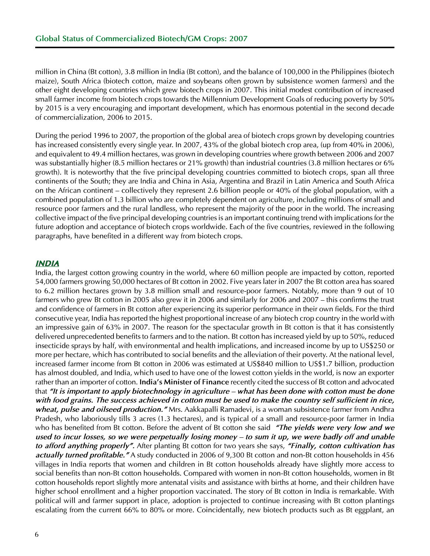million in China (Bt cotton), 3.8 million in India (Bt cotton), and the balance of 100,000 in the Philippines (biotech maize), South Africa (biotech cotton, maize and soybeans often grown by subsistence women farmers) and the other eight developing countries which grew biotech crops in 2007. This initial modest contribution of increased small farmer income from biotech crops towards the Millennium Development Goals of reducing poverty by 50% by 2015 is a very encouraging and important development, which has enormous potential in the second decade of commercialization, 2006 to 2015.

During the period 1996 to 2007, the proportion of the global area of biotech crops grown by developing countries has increased consistently every single year. In 2007, 43% of the global biotech crop area, (up from 40% in 2006), and equivalent to 49.4 million hectares, was grown in developing countries where growth between 2006 and 2007 was substantially higher (8.5 million hectares or 21% growth) than industrial countries (3.8 million hectares or 6% growth). It is noteworthy that the five principal developing countries committed to biotech crops, span all three continents of the South; they are India and China in Asia, Argentina and Brazil in Latin America and South Africa on the African continent – collectively they represent 2.6 billion people or 40% of the global population, with a combined population of 1.3 billion who are completely dependent on agriculture, including millions of small and resource poor farmers and the rural landless, who represent the majority of the poor in the world. The increasing collective impact of the five principal developing countries is an important continuing trend with implications for the future adoption and acceptance of biotech crops worldwide. Each of the five countries, reviewed in the following paragraphs, have benefited in a different way from biotech crops.

#### *india*

India, the largest cotton growing country in the world, where 60 million people are impacted by cotton, reported 54,000 farmers growing 50,000 hectares of Bt cotton in 2002. Five years later in 2007 the Bt cotton area has soared to 6.2 million hectares grown by 3.8 million small and resource-poor farmers. Notably, more than 9 out of 10 farmers who grew Bt cotton in 2005 also grew it in 2006 and similarly for 2006 and 2007 – this confirms the trust and confidence of farmers in Bt cotton after experiencing its superior performance in their own fields. For the third consecutive year, India has reported the highest proportional increase of any biotech crop country in the world with an impressive gain of 63% in 2007. The reason for the spectacular growth in Bt cotton is that it has consistently delivered unprecedented benefits to farmers and to the nation. Bt cotton has increased yield by up to 50%, reduced insecticide sprays by half, with environmental and health implications, and increased income by up to US\$250 or more per hectare, which has contributed to social benefits and the alleviation of their poverty. At the national level, increased farmer income from Bt cotton in 2006 was estimated at US\$840 million to US\$1.7 billion, production has almost doubled, and India, which used to have one of the lowest cotton yields in the world, is now an exporter rather than an importer of cotton. **India's Minister of Finance** recently cited the success of Bt cotton and advocated that *"It is important to apply biotechnology in agriculture – what has been done with cotton must be done with food grains. The success achieved in cotton must be used to make the country self sufficient in rice, wheat, pulse and oilseed production."* Mrs. Aakkapalli Ramadevi, is a woman subsistence farmer from Andhra Pradesh, who laboriously tills 3 acres (1.3 hectares), and is typical of a small and resource-poor farmer in India who has benefited from Bt cotton. Before the advent of Bt cotton she said *"The yields were very low and we used to incur losses, so we were perpetually losing money – to sum it up, we were badly off and unable to afford anything properly".* After planting Bt cotton for two years she says, *"Finally, cotton cultivation has actually turned profitable."* A study conducted in 2006 of 9,300 Bt cotton and non-Bt cotton households in 456 villages in India reports that women and children in Bt cotton households already have slightly more access to social benefits than non-Bt cotton households. Compared with women in non-Bt cotton households, women in Bt cotton households report slightly more antenatal visits and assistance with births at home, and their children have higher school enrollment and a higher proportion vaccinated. The story of Bt cotton in India is remarkable. With political will and farmer support in place, adoption is projected to continue increasing with Bt cotton plantings escalating from the current 66% to 80% or more. Coincidentally, new biotech products such as Bt eggplant, an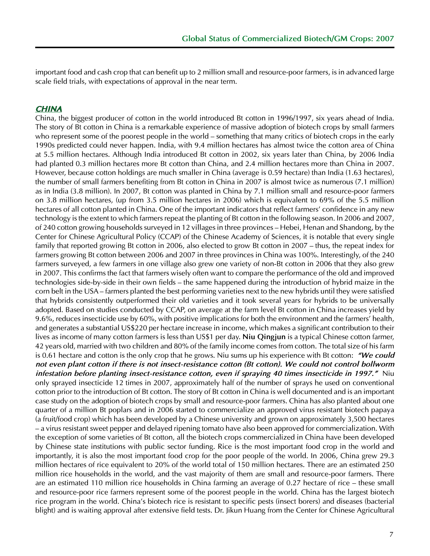important food and cash crop that can benefit up to 2 million small and resource-poor farmers, is in advanced large scale field trials, with expectations of approval in the near term.

#### *china*

China, the biggest producer of cotton in the world introduced Bt cotton in 1996/1997, six years ahead of India. The story of Bt cotton in China is a remarkable experience of massive adoption of biotech crops by small farmers who represent some of the poorest people in the world – something that many critics of biotech crops in the early 1990s predicted could never happen. India, with 9.4 million hectares has almost twice the cotton area of China at 5.5 million hectares. Although India introduced Bt cotton in 2002, six years later than China, by 2006 India had planted 0.3 million hectares more Bt cotton than China, and 2.4 million hectares more than China in 2007. However, because cotton holdings are much smaller in China (average is 0.59 hectare) than India (1.63 hectares), the number of small farmers benefiting from Bt cotton in China in 2007 is almost twice as numerous (7.1 million) as in India (3.8 million). In 2007, Bt cotton was planted in China by 7.1 million small and resource-poor farmers on 3.8 million hectares, (up from 3.5 million hectares in 2006) which is equivalent to 69% of the 5.5 million hectares of all cotton planted in China. One of the important indicators that reflect farmers' confidence in any new technology is the extent to which farmers repeat the planting of Bt cotton in the following season. In 2006 and 2007, of 240 cotton growing households surveyed in 12 villages in three provinces – Hebei, Henan and Shandong, by the Center for Chinese Agricultural Policy (CCAP) of the Chinese Academy of Sciences, it is notable that every single family that reported growing Bt cotton in 2006, also elected to grow Bt cotton in 2007 – thus, the repeat index for farmers growing Bt cotton between 2006 and 2007 in three provinces in China was 100%. Interestingly, of the 240 farmers surveyed, a few farmers in one village also grew one variety of non-Bt cotton in 2006 that they also grew in 2007. This confirms the fact that farmers wisely often want to compare the performance of the old and improved technologies side-by-side in their own fields – the same happened during the introduction of hybrid maize in the corn belt in the USA – farmers planted the best performing varieties next to the new hybrids until they were satisfied that hybrids consistently outperformed their old varieties and it took several years for hybrids to be universally adopted. Based on studies conducted by CCAP, on average at the farm level Bt cotton in China increases yield by 9.6%, reduces insecticide use by 60%, with positive implications for both the environment and the farmers' health, and generates a substantial US\$220 per hectare increase in income, which makes a significant contribution to their lives as income of many cotton farmers is less than US\$1 per day. **Niu Qingjun** is a typical Chinese cotton farmer, 42 years old, married with two children and 80% of the family income comes from cotton. The total size of his farm is 0.61 hectare and cotton is the only crop that he grows. Niu sums up his experience with Bt cotton: *"We could not even plant cotton if there is not insect-resistance cotton (Bt cotton). We could not control bollworm infestation before planting insect-resistance cotton, even if spraying 40 times insecticide in 1997."* Niu only sprayed insecticide 12 times in 2007, approximately half of the number of sprays he used on conventional cotton prior to the introduction of Bt cotton. The story of Bt cotton in China is well documented and is an important case study on the adoption of biotech crops by small and resource-poor farmers. China has also planted about one quarter of a million Bt poplars and in 2006 started to commercialize an approved virus resistant biotech papaya (a fruit/food crop) which has been developed by a Chinese university and grown on approximately 3,500 hectares – a virus resistant sweet pepper and delayed ripening tomato have also been approved for commercialization. With the exception of some varieties of Bt cotton, all the biotech crops commercialized in China have been developed by Chinese state institutions with public sector funding. Rice is the most important food crop in the world and importantly, it is also the most important food crop for the poor people of the world. In 2006, China grew 29.3 million hectares of rice equivalent to 20% of the world total of 150 million hectares. There are an estimated 250 million rice households in the world, and the vast majority of them are small and resource-poor farmers. There are an estimated 110 million rice households in China farming an average of 0.27 hectare of rice – these small and resource-poor rice farmers represent some of the poorest people in the world. China has the largest biotech rice program in the world. China's biotech rice is resistant to specific pests (insect borers) and diseases (bacterial blight) and is waiting approval after extensive field tests. Dr. Jikun Huang from the Center for Chinese Agricultural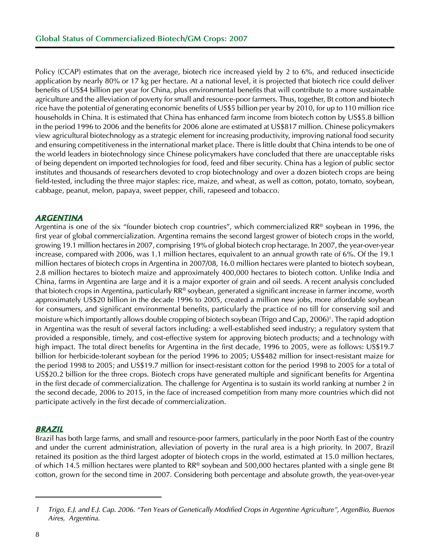Policy (CCAP) estimates that on the average, biotech rice increased yield by 2 to 6%, and reduced insecticide application by nearly 80% or 17 kg per hectare. At a national level, it is projected that biotech rice could deliver benefits of US\$4 billion per year for China, plus environmental benefits that will contribute to a more sustainable agriculture and the alleviation of poverty for small and resource-poor farmers. Thus, together, Bt cotton and biotech rice have the potential of generating economic benefits of US\$5 billion per year by 2010, for up to 110 million rice households in China. It is estimated that China has enhanced farm income from biotech cotton by US\$5.8 billion in the period 1996 to 2006 and the benefits for 2006 alone are estimated at US\$817 million. Chinese policymakers view agricultural biotechnology as a strategic element for increasing productivity, improving national food security and ensuring competitiveness in the international market place. There is little doubt that China intends to be one of the world leaders in biotechnology since Chinese policymakers have concluded that there are unacceptable risks of being dependent on imported technologies for food, feed and fiber security. China has a legion of public sector institutes and thousands of researchers devoted to crop biotechnology and over a dozen biotech crops are being field-tested, including the three major staples: rice, maize, and wheat, as well as cotton, potato, tomato, soybean, cabbage, peanut, melon, papaya, sweet pepper, chili, rapeseed and tobacco.

## *argentina*

Argentina is one of the six "founder biotech crop countries", which commercialized RR® soybean in 1996, the first year of global commercialization. Argentina remains the second largest grower of biotech crops in the world, growing 19.1 million hectares in 2007, comprising 19% of global biotech crop hectarage. In 2007, the year-over-year increase, compared with 2006, was 1.1 million hectares, equivalent to an annual growth rate of 6%. Of the 19.1 million hectares of biotech crops in Argentina in 2007/08, 16.0 million hectares were planted to biotech soybean, 2.8 million hectares to biotech maize and approximately 400,000 hectares to biotech cotton. Unlike India and China, farms in Argentina are large and it is a major exporter of grain and oil seeds. A recent analysis concluded that biotech crops in Argentina, particularly RR® soybean, generated a significant increase in farmer income, worth approximately US\$20 billion in the decade 1996 to 2005, created a million new jobs, more affordable soybean for consumers, and significant environmental benefits, particularly the practice of no till for conserving soil and moisture which importantly allows double cropping of biotech soybean (Trigo and Cap, 2006)<sup>†</sup>. The rapid adoption in Argentina was the result of several factors including: a well-established seed industry; a regulatory system that provided a responsible, timely, and cost-effective system for approving biotech products; and a technology with high impact. The total direct benefits for Argentina in the first decade, 1996 to 2005, were as follows: US\$19.7 billion for herbicide-tolerant soybean for the period 1996 to 2005; US\$482 million for insect-resistant maize for the period 1998 to 2005; and US\$19.7 million for insect-resistant cotton for the period 1998 to 2005 for a total of US\$20.2 billion for the three crops. Biotech crops have generated multiple and significant benefits for Argentina in the first decade of commercialization. The challenge for Argentina is to sustain its world ranking at number 2 in the second decade, 2006 to 2015, in the face of increased competition from many more countries which did not participate actively in the first decade of commercialization.

## *brazil*

Brazil has both large farms, and small and resource-poor farmers, particularly in the poor North East of the country and under the current administration, alleviation of poverty in the rural area is a high priority. In 2007, Brazil retained its position as the third largest adopter of biotech crops in the world, estimated at 15.0 million hectares, of which 14.5 million hectares were planted to RR® soybean and 500,000 hectares planted with a single gene Bt cotton, grown for the second time in 2007. Considering both percentage and absolute growth, the year-over-year

*<sup>1</sup> Trigo, E.J. and E.J. Cap. 2006. "Ten Years of Genetically Modified Crops in Argentine Agriculture", ArgenBio, Buenos Aires, Argentina.*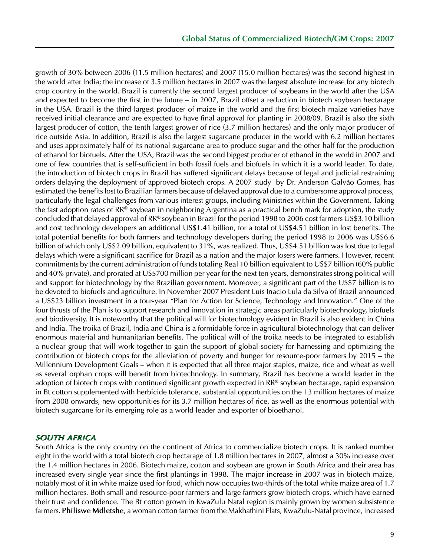growth of 30% between 2006 (11.5 million hectares) and 2007 (15.0 million hectares) was the second highest in the world after India; the increase of 3.5 million hectares in 2007 was the largest absolute increase for any biotech crop country in the world. Brazil is currently the second largest producer of soybeans in the world after the USA and expected to become the first in the future – in 2007, Brazil offset a reduction in biotech soybean hectarage in the USA. Brazil is the third largest producer of maize in the world and the first biotech maize varieties have received initial clearance and are expected to have final approval for planting in 2008/09. Brazil is also the sixth largest producer of cotton, the tenth largest grower of rice (3.7 million hectares) and the only major producer of rice outside Asia. In addition, Brazil is also the largest sugarcane producer in the world with 6.2 million hectares and uses approximately half of its national sugarcane area to produce sugar and the other half for the production of ethanol for biofuels. After the USA, Brazil was the second biggest producer of ethanol in the world in 2007 and one of few countries that is self-sufficient in both fossil fuels and biofuels in which it is a world leader. To date, the introduction of biotech crops in Brazil has suffered significant delays because of legal and judicial restraining orders delaying the deployment of approved biotech crops. A 2007 study by Dr. Anderson Galvão Gomes, has estimated the benefits lost to Brazilian farmers because of delayed approval due to a cumbersome approval process, particularly the legal challenges from various interest groups, including Ministries within the Government. Taking the fast adoption rates of RR® soybean in neighboring Argentina as a practical bench mark for adoption, the study concluded that delayed approval of RR® soybean in Brazil for the period 1998 to 2006 cost farmers US\$3.10 billion and cost technology developers an additional US\$1.41 billion, for a total of US\$4.51 billion in lost benefits. The total potential benefits for both farmers and technology developers during the period 1998 to 2006 was US\$6.6 billion of which only US\$2.09 billion, equivalent to 31%, was realized. Thus, US\$4.51 billion was lost due to legal delays which were a significant sacrifice for Brazil as a nation and the major losers were farmers. However, recent commitments by the current administration of funds totaling Real 10 billion equivalent to US\$7 billion (60% public and 40% private), and prorated at US\$700 million per year for the next ten years, demonstrates strong political will and support for biotechnology by the Brazilian government. Moreover, a significant part of the US\$7 billion is to be devoted to biofuels and agriculture. In November 2007 President Luis Inacio Lula da Silva of Brazil announced a US\$23 billion investment in a four-year "Plan for Action for Science, Technology and Innovation." One of the four thrusts of the Plan is to support research and innovation in strategic areas particularly biotechnology, biofuels and biodiversity. It is noteworthy that the political will for biotechnology evident in Brazil is also evident in China and India. The troika of Brazil, India and China is a formidable force in agricultural biotechnology that can deliver enormous material and humanitarian benefits. The political will of the troika needs to be integrated to establish a nuclear group that will work together to gain the support of global society for harnessing and optimizing the contribution of biotech crops for the alleviation of poverty and hunger for resource-poor farmers by 2015 – the Millennium Development Goals – when it is expected that all three major staples, maize, rice and wheat as well as several orphan crops will benefit from biotechnology. In summary, Brazil has become a world leader in the adoption of biotech crops with continued significant growth expected in RR® soybean hectarage, rapid expansion in Bt cotton supplemented with herbicide tolerance, substantial opportunities on the 13 million hectares of maize from 2008 onwards, new opportunities for its 3.7 million hectares of rice, as well as the enormous potential with biotech sugarcane for its emerging role as a world leader and exporter of bioethanol.

#### *south africa*

South Africa is the only country on the continent of Africa to commercialize biotech crops. It is ranked number eight in the world with a total biotech crop hectarage of 1.8 million hectares in 2007, almost a 30% increase over the 1.4 million hectares in 2006. Biotech maize, cotton and soybean are grown in South Africa and their area has increased every single year since the first plantings in 1998. The major increase in 2007 was in biotech maize, notably most of it in white maize used for food, which now occupies two-thirds of the total white maize area of 1.7 million hectares. Both small and resource-poor farmers and large farmers grow biotech crops, which have earned their trust and confidence. The Bt cotton grown in KwaZulu Natal region is mainly grown by women subsistence farmers. **Philiswe Mdletshe**, a woman cotton farmer from the Makhathini Flats, KwaZulu-Natal province, increased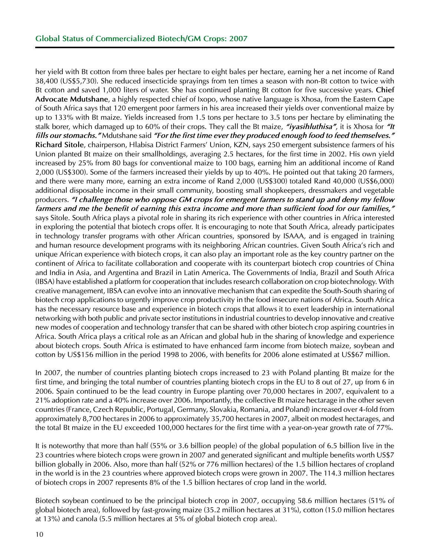her yield with Bt cotton from three bales per hectare to eight bales per hectare, earning her a net income of Rand 38,400 (US\$5,730). She reduced insecticide sprayings from ten times a season with non-Bt cotton to twice with Bt cotton and saved 1,000 liters of water. She has continued planting Bt cotton for five successive years. **Chief Advocate Mdutshane**, a highly respected chief of Ixopo, whose native language is Xhosa, from the Eastern Cape of South Africa says that 120 emergent poor farmers in his area increased their yields over conventional maize by up to 133% with Bt maize. Yields increased from 1.5 tons per hectare to 3.5 tons per hectare by eliminating the stalk borer, which damaged up to 60% of their crops. They call the Bt maize, *"iyasihluthisa"*, it is Xhosa for *"It fills our stomachs."* Mdutshane said *"For the first time ever they produced enough food to feed themselves."* **Richard Sitole**, chairperson, Hlabisa District Farmers' Union, KZN, says 250 emergent subsistence farmers of his Union planted Bt maize on their smallholdings, averaging 2.5 hectares, for the first time in 2002. His own yield increased by 25% from 80 bags for conventional maize to 100 bags, earning him an additional income of Rand 2,000 (US\$300). Some of the farmers increased their yields by up to 40%. He pointed out that taking 20 farmers, and there were many more, earning an extra income of Rand 2,000 (US\$300) totaled Rand 40,000 (US\$6,000) additional disposable income in their small community, boosting small shopkeepers, dressmakers and vegetable producers. *"I challenge those who oppose GM crops for emergent farmers to stand up and deny my fellow farmers and me the benefit of earning this extra income and more than sufficient food for our families,"* says Sitole. South Africa plays a pivotal role in sharing its rich experience with other countries in Africa interested in exploring the potential that biotech crops offer. It is encouraging to note that South Africa, already participates in technology transfer programs with other African countries, sponsored by ISAAA, and is engaged in training and human resource development programs with its neighboring African countries. Given South Africa's rich and unique African experience with biotech crops, it can also play an important role as the key country partner on the continent of Africa to facilitate collaboration and cooperate with its counterpart biotech crop countries of China and India in Asia, and Argentina and Brazil in Latin America. The Governments of India, Brazil and South Africa (IBSA) have established a platform for cooperation that includes research collaboration on crop biotechnology. With creative management, IBSA can evolve into an innovative mechanism that can expedite the South-South sharing of biotech crop applications to urgently improve crop productivity in the food insecure nations of Africa. South Africa has the necessary resource base and experience in biotech crops that allows it to exert leadership in international networking with both public and private sector institutions in industrial countries to develop innovative and creative new modes of cooperation and technology transfer that can be shared with other biotech crop aspiring countries in Africa. South Africa plays a critical role as an African and global hub in the sharing of knowledge and experience about biotech crops. South Africa is estimated to have enhanced farm income from biotech maize, soybean and cotton by US\$156 million in the period 1998 to 2006, with benefits for 2006 alone estimated at US\$67 million.

In 2007, the number of countries planting biotech crops increased to 23 with Poland planting Bt maize for the first time, and bringing the total number of countries planting biotech crops in the EU to 8 out of 27, up from 6 in 2006. Spain continued to be the lead country in Europe planting over 70,000 hectares in 2007, equivalent to a 21% adoption rate and a 40% increase over 2006. Importantly, the collective Bt maize hectarage in the other seven countries (France, Czech Republic, Portugal, Germany, Slovakia, Romania, and Poland) increased over 4-fold from approximately 8,700 hectares in 2006 to approximately 35,700 hectares in 2007, albeit on modest hectarages, and the total Bt maize in the EU exceeded 100,000 hectares for the first time with a year-on-year growth rate of 77%.

It is noteworthy that more than half (55% or 3.6 billion people) of the global population of 6.5 billion live in the 23 countries where biotech crops were grown in 2007 and generated significant and multiple benefits worth US\$7 billion globally in 2006. Also, more than half (52% or 776 million hectares) of the 1.5 billion hectares of cropland in the world is in the 23 countries where approved biotech crops were grown in 2007. The 114.3 million hectares of biotech crops in 2007 represents 8% of the 1.5 billion hectares of crop land in the world.

Biotech soybean continued to be the principal biotech crop in 2007, occupying 58.6 million hectares (51% of global biotech area), followed by fast-growing maize (35.2 million hectares at 31%), cotton (15.0 million hectares at 13%) and canola (5.5 million hectares at 5% of global biotech crop area).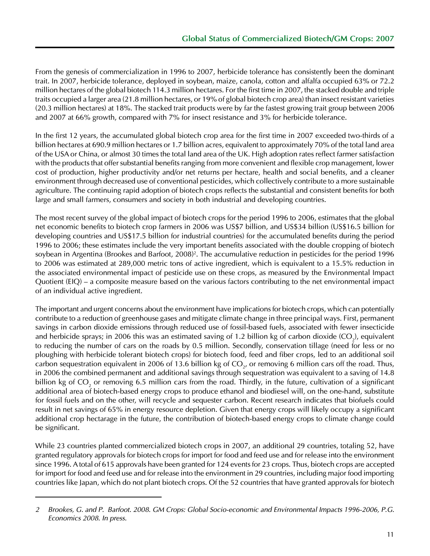From the genesis of commercialization in 1996 to 2007, herbicide tolerance has consistently been the dominant trait. In 2007, herbicide tolerance, deployed in soybean, maize, canola, cotton and alfalfa occupied 63% or 72.2 million hectares of the global biotech 114.3 million hectares. For the first time in 2007, the stacked double and triple traits occupied a larger area (21.8 million hectares, or 19% of global biotech crop area) than insect resistant varieties (20.3 million hectares) at 18%. The stacked trait products were by far the fastest growing trait group between 2006 and 2007 at 66% growth, compared with 7% for insect resistance and 3% for herbicide tolerance.

In the first 12 years, the accumulated global biotech crop area for the first time in 2007 exceeded two-thirds of a billion hectares at 690.9 million hectares or 1.7 billion acres, equivalent to approximately 70% of the total land area of the USA or China, or almost 30 times the total land area of the UK. High adoption rates reflect farmer satisfaction with the products that offer substantial benefits ranging from more convenient and flexible crop management, lower cost of production, higher productivity and/or net returns per hectare, health and social benefits, and a cleaner environment through decreased use of conventional pesticides, which collectively contribute to a more sustainable agriculture. The continuing rapid adoption of biotech crops reflects the substantial and consistent benefits for both large and small farmers, consumers and society in both industrial and developing countries.

The most recent survey of the global impact of biotech crops for the period 1996 to 2006, estimates that the global net economic benefits to biotech crop farmers in 2006 was US\$7 billion, and US\$34 billion (US\$16.5 billion for developing countries and US\$17.5 billion for industrial countries) for the accumulated benefits during the period 1996 to 2006; these estimates include the very important benefits associated with the double cropping of biotech soybean in Argentina (Brookes and Barfoot, 2008)<sup>2</sup>. The accumulative reduction in pesticides for the period 1996 to 2006 was estimated at 289,000 metric tons of active ingredient, which is equivalent to a 15.5% reduction in the associated environmental impact of pesticide use on these crops, as measured by the Environmental Impact Quotient (EIQ) – a composite measure based on the various factors contributing to the net environmental impact of an individual active ingredient.

The important and urgent concerns about the environment have implications for biotech crops, which can potentially contribute to a reduction of greenhouse gases and mitigate climate change in three principal ways. First, permanent savings in carbon dioxide emissions through reduced use of fossil-based fuels, associated with fewer insecticide and herbicide sprays; in 2006 this was an estimated saving of 1.2 billion kg of carbon dioxide (CO<sub>2</sub>), equivalent to reducing the number of cars on the roads by 0.5 million. Secondly, conservation tillage (need for less or no ploughing with herbicide tolerant biotech crops) for biotech food, feed and fiber crops, led to an additional soil carbon sequestration equivalent in 2006 of 13.6 billion kg of CO<sub>2</sub>, or removing 6 million cars off the road. Thus, in 2006 the combined permanent and additional savings through sequestration was equivalent to a saving of 14.8 billion kg of CO<sub>2</sub> or removing 6.5 million cars from the road. Thirdly, in the future, cultivation of a significant additional area of biotech-based energy crops to produce ethanol and biodiesel will, on the one-hand, substitute for fossil fuels and on the other, will recycle and sequester carbon. Recent research indicates that biofuels could result in net savings of 65% in energy resource depletion. Given that energy crops will likely occupy a significant additional crop hectarage in the future, the contribution of biotech-based energy crops to climate change could be significant.

While 23 countries planted commercialized biotech crops in 2007, an additional 29 countries, totaling 52, have granted regulatory approvals for biotech crops for import for food and feed use and for release into the environment since 1996. A total of 615 approvals have been granted for 124 events for 23 crops. Thus, biotech crops are accepted for import for food and feed use and for release into the environment in 29 countries, including major food importing countries like Japan, which do not plant biotech crops. Of the 52 countries that have granted approvals for biotech

*<sup>2</sup> Brookes, G. and P. Barfoot. 2008. GM Crops: Global Socio-economic and Environmental Impacts 1996-2006, P.G. Economics 2008. In press.*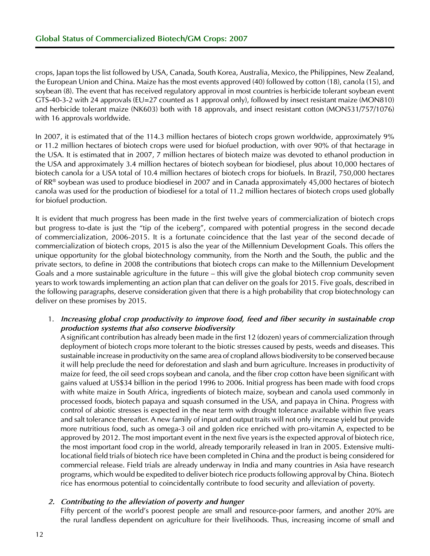crops, Japan tops the list followed by USA, Canada, South Korea, Australia, Mexico, the Philippines, New Zealand, the European Union and China. Maize has the most events approved (40) followed by cotton (18), canola (15), and soybean (8). The event that has received regulatory approval in most countries is herbicide tolerant soybean event GTS-40-3-2 with 24 approvals (EU=27 counted as 1 approval only), followed by insect resistant maize (MON810) and herbicide tolerant maize (NK603) both with 18 approvals, and insect resistant cotton (MON531/757/1076) with 16 approvals worldwide.

In 2007, it is estimated that of the 114.3 million hectares of biotech crops grown worldwide, approximately 9% or 11.2 million hectares of biotech crops were used for biofuel production, with over 90% of that hectarage in the USA. It is estimated that in 2007, 7 million hectares of biotech maize was devoted to ethanol production in the USA and approximately 3.4 million hectares of biotech soybean for biodiesel, plus about 10,000 hectares of biotech canola for a USA total of 10.4 million hectares of biotech crops for biofuels. In Brazil, 750,000 hectares of RR® soybean was used to produce biodiesel in 2007 and in Canada approximately 45,000 hectares of biotech canola was used for the production of biodiesel for a total of 11.2 million hectares of biotech crops used globally for biofuel production.

It is evident that much progress has been made in the first twelve years of commercialization of biotech crops but progress to-date is just the "tip of the iceberg", compared with potential progress in the second decade of commercialization, 2006-2015. It is a fortunate coincidence that the last year of the second decade of commercialization of biotech crops, 2015 is also the year of the Millennium Development Goals. This offers the unique opportunity for the global biotechnology community, from the North and the South, the public and the private sectors, to define in 2008 the contributions that biotech crops can make to the Millennium Development Goals and a more sustainable agriculture in the future – this will give the global biotech crop community seven years to work towards implementing an action plan that can deliver on the goals for 2015. Five goals, described in the following paragraphs, deserve consideration given that there is a high probability that crop biotechnology can deliver on these promises by 2015.

#### 1. *Increasing global crop productivity to improve food, feed and fiber security in sustainable crop production systems that also conserve biodiversity*

A significant contribution has already been made in the first 12 (dozen) years of commercialization through deployment of biotech crops more tolerant to the biotic stresses caused by pests, weeds and diseases. This sustainable increase in productivity on the same area of cropland allows biodiversity to be conserved because it will help preclude the need for deforestation and slash and burn agriculture. Increases in productivity of maize for feed, the oil seed crops soybean and canola, and the fiber crop cotton have been significant with gains valued at US\$34 billion in the period 1996 to 2006. Initial progress has been made with food crops with white maize in South Africa, ingredients of biotech maize, soybean and canola used commonly in processed foods, biotech papaya and squash consumed in the USA, and papaya in China. Progress with control of abiotic stresses is expected in the near term with drought tolerance available within five years and salt tolerance thereafter. A new family of input and output traits will not only increase yield but provide more nutritious food, such as omega-3 oil and golden rice enriched with pro-vitamin A, expected to be approved by 2012. The most important event in the next five years is the expected approval of biotech rice, the most important food crop in the world, already temporarily released in Iran in 2005. Extensive multilocational field trials of biotech rice have been completed in China and the product is being considered for commercial release. Field trials are already underway in India and many countries in Asia have research programs, which would be expedited to deliver biotech rice products following approval by China. Biotech rice has enormous potential to coincidentally contribute to food security and alleviation of poverty.

#### *2. Contributing to the alleviation of poverty and hunger*

Fifty percent of the world's poorest people are small and resource-poor farmers, and another 20% are the rural landless dependent on agriculture for their livelihoods. Thus, increasing income of small and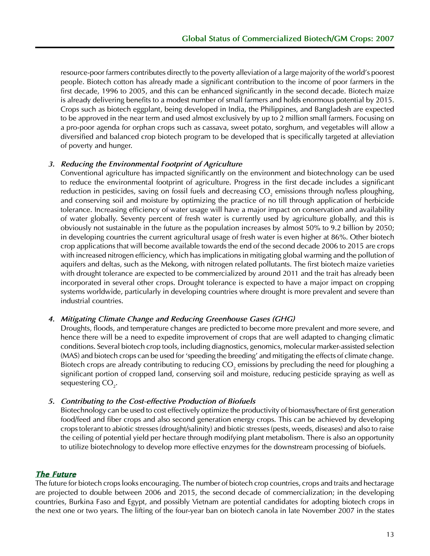resource-poor farmers contributes directly to the poverty alleviation of a large majority of the world's poorest people. Biotech cotton has already made a significant contribution to the income of poor farmers in the first decade, 1996 to 2005, and this can be enhanced significantly in the second decade. Biotech maize is already delivering benefits to a modest number of small farmers and holds enormous potential by 2015. Crops such as biotech eggplant, being developed in India, the Philippines, and Bangladesh are expected to be approved in the near term and used almost exclusively by up to 2 million small farmers. Focusing on a pro-poor agenda for orphan crops such as cassava, sweet potato, sorghum, and vegetables will allow a diversified and balanced crop biotech program to be developed that is specifically targeted at alleviation of poverty and hunger.

#### *3. Reducing the Environmental Footprint of Agriculture*

Conventional agriculture has impacted significantly on the environment and biotechnology can be used to reduce the environmental footprint of agriculture. Progress in the first decade includes a significant reduction in pesticides, saving on fossil fuels and decreasing CO<sub>2</sub> emissions through no/less ploughing, and conserving soil and moisture by optimizing the practice of no till through application of herbicide tolerance. Increasing efficiency of water usage will have a major impact on conservation and availability of water globally. Seventy percent of fresh water is currently used by agriculture globally, and this is obviously not sustainable in the future as the population increases by almost 50% to 9.2 billion by 2050; in developing countries the current agricultural usage of fresh water is even higher at 86%. Other biotech crop applications that will become available towards the end of the second decade 2006 to 2015 are crops with increased nitrogen efficiency, which has implications in mitigating global warming and the pollution of aquifers and deltas, such as the Mekong, with nitrogen related pollutants. The first biotech maize varieties with drought tolerance are expected to be commercialized by around 2011 and the trait has already been incorporated in several other crops. Drought tolerance is expected to have a major impact on cropping systems worldwide, particularly in developing countries where drought is more prevalent and severe than industrial countries.

#### *4. Mitigating Climate Change and Reducing Greenhouse Gases (GHG)*

Droughts, floods, and temperature changes are predicted to become more prevalent and more severe, and hence there will be a need to expedite improvement of crops that are well adapted to changing climatic conditions. Several biotech crop tools, including diagnostics, genomics, molecular marker-assisted selection (MAS) and biotech crops can be used for 'speeding the breeding' and mitigating the effects of climate change. Biotech crops are already contributing to reducing CO<sub>2</sub> emissions by precluding the need for ploughing a significant portion of cropped land, conserving soil and moisture, reducing pesticide spraying as well as sequestering  $CO<sub>2</sub>$ .

#### *5. Contributing to the Cost-effective Production of Biofuels*

Biotechnology can be used to cost effectively optimize the productivity of biomass/hectare of first generation food/feed and fiber crops and also second generation energy crops. This can be achieved by developing crops tolerant to abiotic stresses (drought/salinity) and biotic stresses (pests, weeds, diseases) and also to raise the ceiling of potential yield per hectare through modifying plant metabolism. There is also an opportunity to utilize biotechnology to develop more effective enzymes for the downstream processing of biofuels.

## *The Future*

The future for biotech crops looks encouraging. The number of biotech crop countries, crops and traits and hectarage are projected to double between 2006 and 2015, the second decade of commercialization; in the developing countries, Burkina Faso and Egypt, and possibly Vietnam are potential candidates for adopting biotech crops in the next one or two years. The lifting of the four-year ban on biotech canola in late November 2007 in the states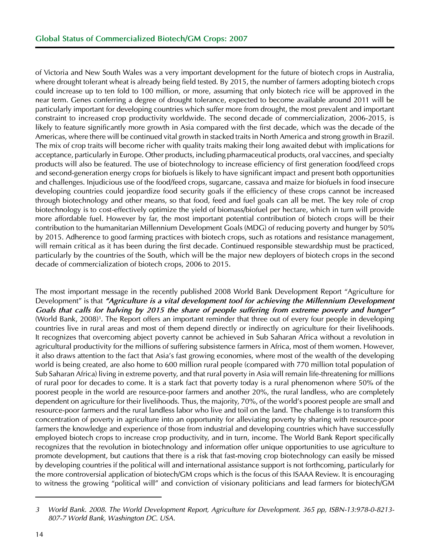of Victoria and New South Wales was a very important development for the future of biotech crops in Australia, where drought tolerant wheat is already being field tested. By 2015, the number of farmers adopting biotech crops could increase up to ten fold to 100 million, or more, assuming that only biotech rice will be approved in the near term. Genes conferring a degree of drought tolerance, expected to become available around 2011 will be particularly important for developing countries which suffer more from drought, the most prevalent and important constraint to increased crop productivity worldwide. The second decade of commercialization, 2006-2015, is likely to feature significantly more growth in Asia compared with the first decade, which was the decade of the Americas, where there will be continued vital growth in stacked traits in North America and strong growth in Brazil. The mix of crop traits will become richer with quality traits making their long awaited debut with implications for acceptance, particularly in Europe. Other products, including pharmaceutical products, oral vaccines, and specialty products will also be featured. The use of biotechnology to increase efficiency of first generation food/feed crops and second-generation energy crops for biofuels is likely to have significant impact and present both opportunities and challenges. Injudicious use of the food/feed crops, sugarcane, cassava and maize for biofuels in food insecure developing countries could jeopardize food security goals if the efficiency of these crops cannot be increased through biotechnology and other means, so that food, feed and fuel goals can all be met. The key role of crop biotechnology is to cost-effectively optimize the yield of biomass/biofuel per hectare, which in turn will provide more affordable fuel. However by far, the most important potential contribution of biotech crops will be their contribution to the humanitarian Millennium Development Goals (MDG) of reducing poverty and hunger by 50% by 2015. Adherence to good farming practices with biotech crops, such as rotations and resistance management, will remain critical as it has been during the first decade. Continued responsible stewardship must be practiced, particularly by the countries of the South, which will be the major new deployers of biotech crops in the second decade of commercialization of biotech crops, 2006 to 2015.

The most important message in the recently published 2008 World Bank Development Report "Agriculture for Development" is that "Agriculture is a vital development tool for achieving the Millennium Development *Goals that calls for halving by 2015 the share of people suffering from extreme poverty and hunger"* (World Bank, 2008)<sup>3</sup>. The Report offers an important reminder that three out of every four people in developing countries live in rural areas and most of them depend directly or indirectly on agriculture for their livelihoods. It recognizes that overcoming abject poverty cannot be achieved in Sub Saharan Africa without a revolution in agricultural productivity for the millions of suffering subsistence farmers in Africa, most of them women. However, it also draws attention to the fact that Asia's fast growing economies, where most of the wealth of the developing world is being created, are also home to 600 million rural people (compared with 770 million total population of Sub Saharan Africa) living in extreme poverty, and that rural poverty in Asia will remain life-threatening for millions of rural poor for decades to come. It is a stark fact that poverty today is a rural phenomenon where 50% of the poorest people in the world are resource-poor farmers and another 20%, the rural landless, who are completely dependent on agriculture for their livelihoods. Thus, the majority, 70%, of the world's poorest people are small and resource-poor farmers and the rural landless labor who live and toil on the land. The challenge is to transform this concentration of poverty in agriculture into an opportunity for alleviating poverty by sharing with resource-poor farmers the knowledge and experience of those from industrial and developing countries which have successfully employed biotech crops to increase crop productivity, and in turn, income. The World Bank Report specifically recognizes that the revolution in biotechnology and information offer unique opportunities to use agriculture to promote development, but cautions that there is a risk that fast-moving crop biotechnology can easily be missed by developing countries if the political will and international assistance support is not forthcoming, particularly for the more controversial application of biotech/GM crops which is the focus of this ISAAA Review. It is encouraging to witness the growing "political will" and conviction of visionary politicians and lead farmers for biotech/GM

*<sup>3</sup> World Bank. 2008. The World Development Report, Agriculture for Development. 365 pp, ISBN-13:978-0-8213- 807-7 World Bank, Washington DC. USA.*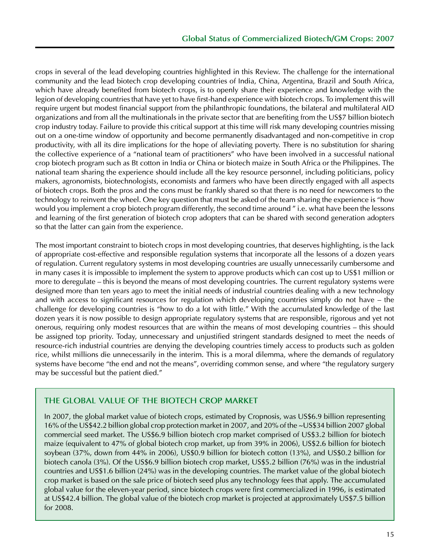crops in several of the lead developing countries highlighted in this Review. The challenge for the international community and the lead biotech crop developing countries of India, China, Argentina, Brazil and South Africa, which have already benefited from biotech crops, is to openly share their experience and knowledge with the legion of developing countries that have yet to have first-hand experience with biotech crops. To implement this will require urgent but modest financial support from the philanthropic foundations, the bilateral and multilateral AID organizations and from all the multinationals in the private sector that are benefiting from the US\$7 billion biotech crop industry today. Failure to provide this critical support at this time will risk many developing countries missing out on a one-time window of opportunity and become permanently disadvantaged and non-competitive in crop productivity, with all its dire implications for the hope of alleviating poverty. There is no substitution for sharing the collective experience of a "national team of practitioners" who have been involved in a successful national crop biotech program such as Bt cotton in India or China or biotech maize in South Africa or the Philippines. The national team sharing the experience should include all the key resource personnel, including politicians, policy makers, agronomists, biotechnologists, economists and farmers who have been directly engaged with all aspects of biotech crops. Both the pros and the cons must be frankly shared so that there is no need for newcomers to the technology to reinvent the wheel. One key question that must be asked of the team sharing the experience is "how would you implement a crop biotech program differently, the second time around " i.e. what have been the lessons and learning of the first generation of biotech crop adopters that can be shared with second generation adopters so that the latter can gain from the experience.

The most important constraint to biotech crops in most developing countries, that deserves highlighting, is the lack of appropriate cost-effective and responsible regulation systems that incorporate all the lessons of a dozen years of regulation. Current regulatory systems in most developing countries are usually unnecessarily cumbersome and in many cases it is impossible to implement the system to approve products which can cost up to US\$1 million or more to deregulate – this is beyond the means of most developing countries. The current regulatory systems were designed more than ten years ago to meet the initial needs of industrial countries dealing with a new technology and with access to significant resources for regulation which developing countries simply do not have – the challenge for developing countries is "how to do a lot with little." With the accumulated knowledge of the last dozen years it is now possible to design appropriate regulatory systems that are responsible, rigorous and yet not onerous, requiring only modest resources that are within the means of most developing countries – this should be assigned top priority. Today, unnecessary and unjustified stringent standards designed to meet the needs of resource-rich industrial countries are denying the developing countries timely access to products such as golden rice, whilst millions die unnecessarily in the interim. This is a moral dilemma, where the demands of regulatory systems have become "the end and not the means", overriding common sense, and where "the regulatory surgery may be successful but the patient died."

## **The Global Value of the Biotech Crop Market**

In 2007, the global market value of biotech crops, estimated by Cropnosis, was US\$6.9 billion representing 16% of the US\$42.2 billion global crop protection market in 2007, and 20% of the ~US\$34 billion 2007 global commercial seed market. The US\$6.9 billion biotech crop market comprised of US\$3.2 billion for biotech maize (equivalent to 47% of global biotech crop market, up from 39% in 2006), US\$2.6 billion for biotech soybean (37%, down from 44% in 2006), US\$0.9 billion for biotech cotton (13%), and US\$0.2 billion for biotech canola (3%). Of the US\$6.9 billion biotech crop market, US\$5.2 billion (76%) was in the industrial countries and US\$1.6 billion (24%) was in the developing countries. The market value of the global biotech crop market is based on the sale price of biotech seed plus any technology fees that apply. The accumulated global value for the eleven-year period, since biotech crops were first commercialized in 1996, is estimated at US\$42.4 billion. The global value of the biotech crop market is projected at approximately US\$7.5 billion for 2008.